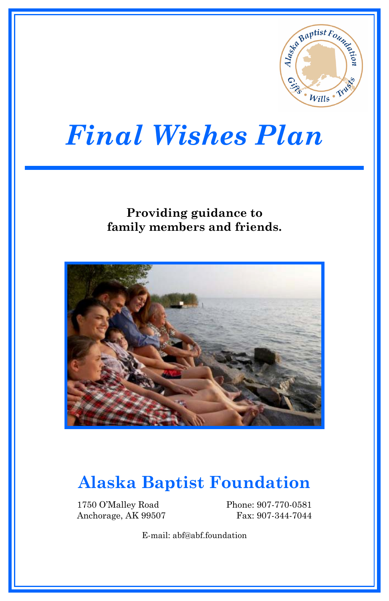

# *Final Wishes Plan*

#### **Providing guidance to family members and friends.**



## **Alaska Baptist Foundation**

1750 O'Malley Road Anchorage, AK 99507 Phone: 907-770-0581 Fax: 907-344-7044

E-mail: abf@abf.foundation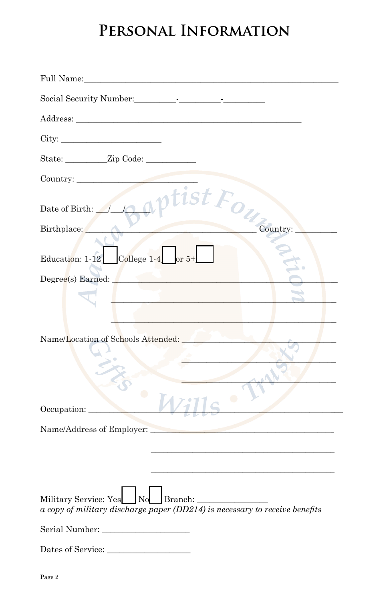### PERSONAL INFORMATION

| City:                                                                       |
|-----------------------------------------------------------------------------|
|                                                                             |
|                                                                             |
| Country: Date of Birth: Apptist Fourtry:                                    |
|                                                                             |
| Education: $1-12$ College $1-4$ or $5+$                                     |
| Degree(s) Earned:                                                           |
| the control of the control of the                                           |
|                                                                             |
| Name/Location of Schools Attended:                                          |
|                                                                             |
|                                                                             |
| Occupation:                                                                 |
| Name/Address of Employer:                                                   |
|                                                                             |
|                                                                             |
| a copy of military discharge paper (DD214) is necessary to receive benefits |
| Serial Number:                                                              |
| Dates of Service:                                                           |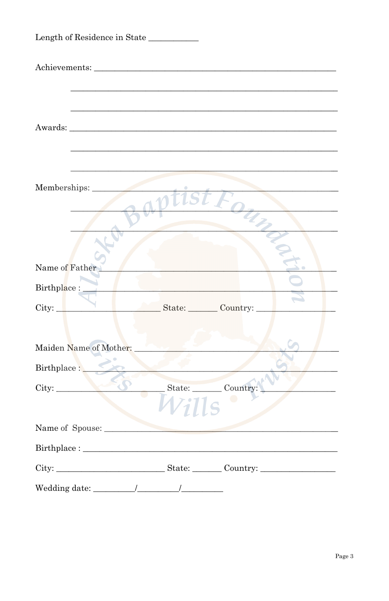| Length of Residence in State                                                                                                                                                                                             |
|--------------------------------------------------------------------------------------------------------------------------------------------------------------------------------------------------------------------------|
|                                                                                                                                                                                                                          |
|                                                                                                                                                                                                                          |
|                                                                                                                                                                                                                          |
|                                                                                                                                                                                                                          |
|                                                                                                                                                                                                                          |
|                                                                                                                                                                                                                          |
| Memberships:                                                                                                                                                                                                             |
|                                                                                                                                                                                                                          |
|                                                                                                                                                                                                                          |
|                                                                                                                                                                                                                          |
| Name of Father                                                                                                                                                                                                           |
| Birthplace :_                                                                                                                                                                                                            |
| State: Country:<br>City:                                                                                                                                                                                                 |
|                                                                                                                                                                                                                          |
| Maiden Name of Mother:                                                                                                                                                                                                   |
| Birthplace :                                                                                                                                                                                                             |
| City: Country:                                                                                                                                                                                                           |
|                                                                                                                                                                                                                          |
| Name of Spouse:                                                                                                                                                                                                          |
| $\textbf{Birthplace:}\underbrace{\hspace{1cm}}$                                                                                                                                                                          |
|                                                                                                                                                                                                                          |
| $\text{Wedding date:}\underbrace{\hspace{2cm}} \hspace{2cm} \underbrace{\hspace{2cm}} \underbrace{\hspace{2cm}} \underbrace{\hspace{2cm}} \underbrace{\hspace{2cm}} \underbrace{\hspace{2cm}} \underbrace{\hspace{2cm}}$ |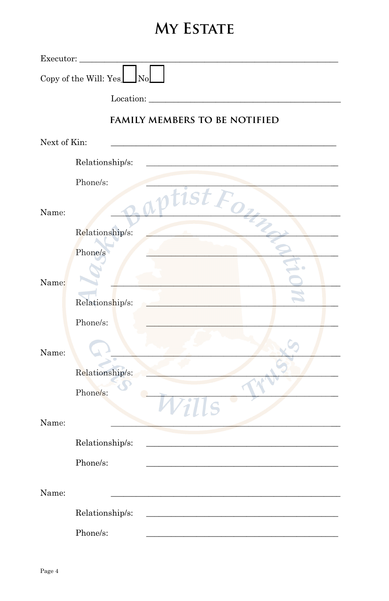### MY ESTATE

| Executor:    |                                             |
|--------------|---------------------------------------------|
|              | Copy of the Will: Yes<br>$\sqrt{\text{No}}$ |
|              | Location:                                   |
|              | <b>FAMILY MEMBERS TO BE NOTIFIED</b>        |
| Next of Kin: |                                             |
|              | Relationship/s:                             |
|              | Phone/s:                                    |
| Name:        | T1S1                                        |
|              | Relationship/s:                             |
|              | Phone/s                                     |
| Name:        |                                             |
|              | Relationship/s:                             |
|              | Phone/s:                                    |
| Name:        |                                             |
|              | Relationship/s:                             |
|              | Phone/s:                                    |
| Name:        |                                             |
|              | Relationship/s:                             |
|              | Phone/s:                                    |
| Name:        |                                             |
|              | Relationship/s:                             |
|              | Phone/s:                                    |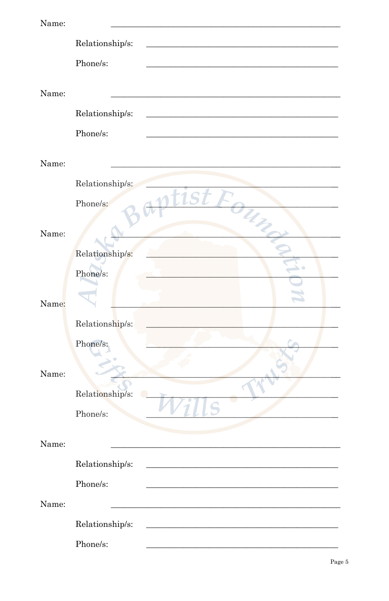| Name: |                  |
|-------|------------------|
|       | Relationship/s:  |
|       | Phone/s:         |
|       |                  |
| Name: |                  |
|       | Relationship/s:  |
|       | Phone/s:         |
|       |                  |
| Name: |                  |
|       | Relationship/s:  |
|       | :1SI<br>Phone/s: |
|       |                  |
| Name: |                  |
|       | Relationship/s:  |
|       | Phone/s:         |
|       |                  |
| Name: |                  |
|       | Relationship/s:  |
|       | Phone/s:         |
|       |                  |
| Name: |                  |
|       | Relationship/s:  |
|       | Phone/s:         |
|       |                  |
| Name: |                  |
|       | Relationship/s:  |
|       | Phone/s:         |
| Name: |                  |
|       | Relationship/s:  |
|       | Phone/s:         |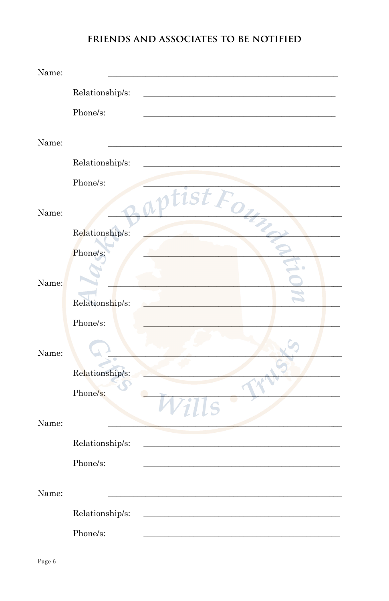#### FRIENDS AND ASSOCIATES TO BE NOTIFIED

| Name: |                 |     |  |
|-------|-----------------|-----|--|
|       | Relationship/s: |     |  |
|       | Phone/s:        |     |  |
|       |                 |     |  |
| Name: |                 |     |  |
|       | Relationship/s: |     |  |
|       | Phone/s:        |     |  |
| Name: |                 |     |  |
|       | Relationship/s: |     |  |
|       | Phone/s:        |     |  |
| Name: |                 |     |  |
|       | Relationship/s: |     |  |
|       | Phone/s:        |     |  |
| Name: |                 |     |  |
|       | Relationship/s: |     |  |
|       | Phone/s:        |     |  |
| Name: |                 | LLS |  |
|       | Relationship/s: |     |  |
|       | Phone/s:        |     |  |
| Name: |                 |     |  |
|       | Relationship/s: |     |  |
|       | Phone/s:        |     |  |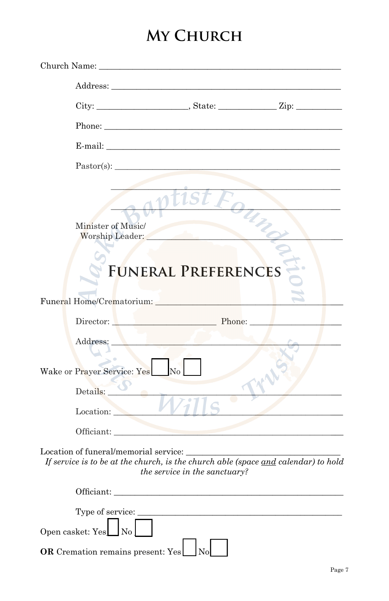# **MY CHURCH**

|                  | Church Name: Name: Name and Solid Church Name and Solid Church Street and Solid Church Street and Solid Church                                                                                                                 |                               |  |
|------------------|--------------------------------------------------------------------------------------------------------------------------------------------------------------------------------------------------------------------------------|-------------------------------|--|
|                  |                                                                                                                                                                                                                                |                               |  |
|                  |                                                                                                                                                                                                                                |                               |  |
|                  |                                                                                                                                                                                                                                |                               |  |
|                  | E-mail:                                                                                                                                                                                                                        |                               |  |
|                  | $Pastror(s)$ :                                                                                                                                                                                                                 |                               |  |
|                  | Minister of Music/<br>Worship Leader:                                                                                                                                                                                          |                               |  |
|                  |                                                                                                                                                                                                                                | <b>FUNERAL PREFERENCES</b>    |  |
|                  | Funeral Home/Crematorium: New York 2014                                                                                                                                                                                        |                               |  |
|                  | Director: Phone: Phone:                                                                                                                                                                                                        |                               |  |
|                  | <b>Contract Contract Contract Contract</b><br>Address:                                                                                                                                                                         |                               |  |
|                  | Wake or Prayer Service: Yes<br>N <sub>0</sub>                                                                                                                                                                                  |                               |  |
|                  | Details:<br>Location:                                                                                                                                                                                                          |                               |  |
|                  | Officiant:                                                                                                                                                                                                                     |                               |  |
|                  | Location of funeral/memorial service:<br>If service is to be at the church, is the church able (space and calendar) to hold                                                                                                    | the service in the sanctuary? |  |
|                  | Officiant: Department of the contract of the contract of the contract of the contract of the contract of the contract of the contract of the contract of the contract of the contract of the contract of the contract of the c |                               |  |
|                  |                                                                                                                                                                                                                                |                               |  |
| Open casket: Yes | $\log$                                                                                                                                                                                                                         |                               |  |
|                  | OR Cremation remains present: Yes                                                                                                                                                                                              | <b>No</b>                     |  |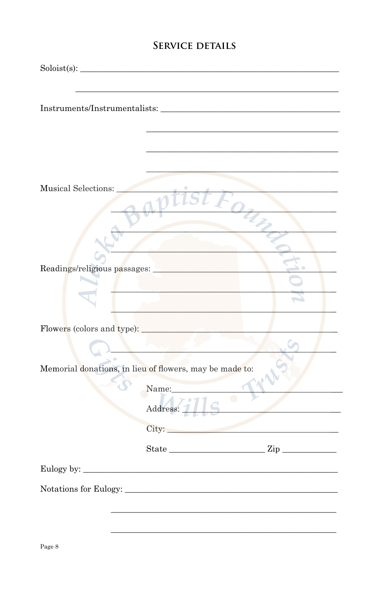#### **SERVICE DETAILS**

|                                                         | Soloist(s): |  |
|---------------------------------------------------------|-------------|--|
|                                                         |             |  |
|                                                         |             |  |
|                                                         |             |  |
|                                                         |             |  |
|                                                         |             |  |
|                                                         |             |  |
| Musical Selections:                                     |             |  |
|                                                         |             |  |
|                                                         |             |  |
|                                                         |             |  |
|                                                         |             |  |
| Readings/religious passages:                            |             |  |
|                                                         |             |  |
|                                                         |             |  |
|                                                         |             |  |
|                                                         |             |  |
|                                                         |             |  |
| Memorial donations, in lieu of flowers, may be made to: |             |  |
|                                                         | Name:       |  |
|                                                         | Address: 1  |  |
|                                                         |             |  |
|                                                         |             |  |
|                                                         |             |  |
|                                                         |             |  |
|                                                         |             |  |
|                                                         |             |  |
|                                                         |             |  |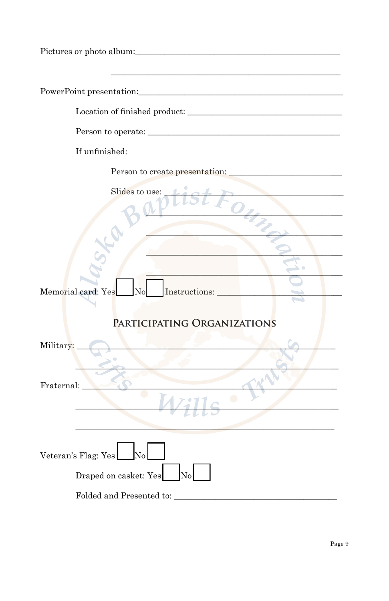| If unfinished:                                                                       |
|--------------------------------------------------------------------------------------|
| Person to create presentation:                                                       |
| Slides to use:<br>Memorial card: Yes<br>Instructions:<br>PARTICIPATING ORGANIZATIONS |
| Military:                                                                            |
|                                                                                      |
| Fraternal:                                                                           |
|                                                                                      |
| No<br>Veteran's Flag: Yes                                                            |
| Draped on casket: Yes<br>No                                                          |
| Folded and Presented to:                                                             |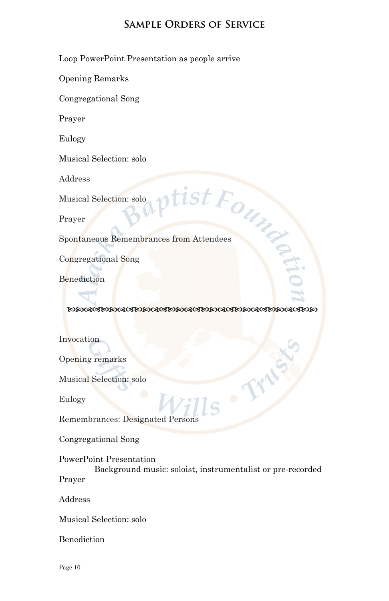#### **Sample Orders of Service**

Loop PowerPoint Presentation as people arrive

Opening Remarks

Congregational Song

Prayer

Eulogy

Musical Selection: solo

Address

Musical Selection: solo

Prayer

Address<br>
Musical Selection: solo<br>
Prayer<br>
Spontaneous Remembrances from Attendees

Congregational Song

Benediction

**EDMACIEDMACIEDMACIEDMACIEDMACIEDMACIEDMACIEDM** 

Invocation

Opening remarks

Musical Selection: solo

Eulogy

Remembrances: Designated Persons

Congregational Song

PowerPoint Presentation

Background music: soloist, instrumentalist or pre-recorded Prayer

Address

Musical Selection: solo

Benediction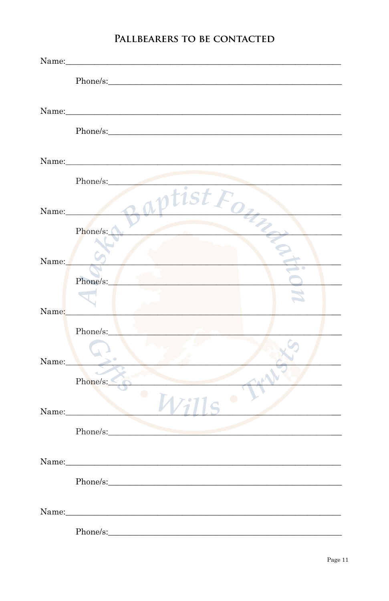#### PALLBEARERS TO BE CONTACTED

|       | Name: Name and the set of the set of the set of the set of the set of the set of the set of the set of the set of the set of the set of the set of the set of the set of the set of the set of the set of the set of the set o |
|-------|--------------------------------------------------------------------------------------------------------------------------------------------------------------------------------------------------------------------------------|
|       |                                                                                                                                                                                                                                |
|       |                                                                                                                                                                                                                                |
|       | Phone/s:                                                                                                                                                                                                                       |
| Name: | tıst j                                                                                                                                                                                                                         |
|       | Phone/s:                                                                                                                                                                                                                       |
| Name: | Phone/s:                                                                                                                                                                                                                       |
| Name: |                                                                                                                                                                                                                                |
| Name: | Phone/s:<br>Phone/s:                                                                                                                                                                                                           |
|       | ∩<br>Name:                                                                                                                                                                                                                     |
|       |                                                                                                                                                                                                                                |
|       |                                                                                                                                                                                                                                |
|       | Phone/s:                                                                                                                                                                                                                       |
|       |                                                                                                                                                                                                                                |
|       | Phone/s:                                                                                                                                                                                                                       |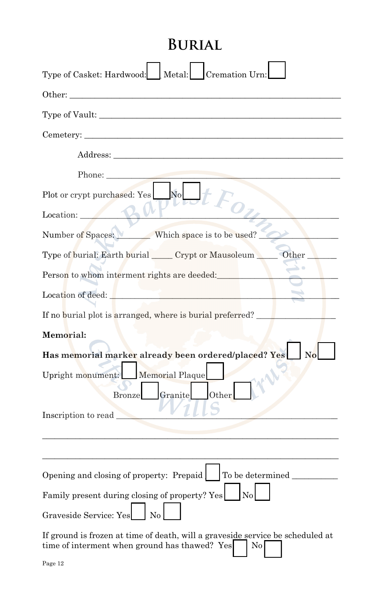### **Burial**

| Type of Casket: Hardwood: Netal: Cremation Urn:                                                                                              |
|----------------------------------------------------------------------------------------------------------------------------------------------|
| Other:                                                                                                                                       |
| Type of Vault:                                                                                                                               |
| Cemetery:                                                                                                                                    |
|                                                                                                                                              |
| Phone:                                                                                                                                       |
| No<br>Plot or crypt purchased: Yes<br>$O_{\mathbb{Z}_2}$<br>Location:                                                                        |
| Number of Spaces: Which space is to be used?                                                                                                 |
| Type of burial: Earth burial _____ Crypt or Mausoleum ______ Other                                                                           |
| Person to whom interment rights are deeded:                                                                                                  |
| Location of deed:                                                                                                                            |
| If no burial plot is arranged, where is burial preferred?                                                                                    |
| Memorial:                                                                                                                                    |
| Has memorial marker already been ordered/placed? Yes                                                                                         |
| Upright monument: Memorial Plaque<br>Granite<br>Other<br><b>Bronze</b><br>Inscription to read                                                |
|                                                                                                                                              |
| Opening and closing of property: Prepaid   To be determined                                                                                  |
| Family present during closing of property? Yes No                                                                                            |
| Graveside Service: Yes                                                                                                                       |
| If ground is frozen at time of death, will a graveside service be scheduled at<br>time of interment when ground has thawed? Yes<br>$\rm{No}$ |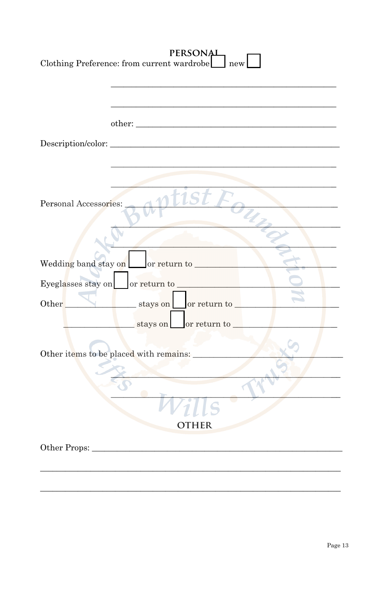| <b>PERSONAL</b><br>Clothing Preference: from current wardrobe<br>new |
|----------------------------------------------------------------------|
|                                                                      |
|                                                                      |
| t1S1<br>Personal Accessories:                                        |
| Wedding band stay on or return to                                    |
| Eyeglasses stay on or return to                                      |
| stays on or return to<br>Other                                       |
| stays on or return to                                                |
| Other items to be placed with remains:                               |
|                                                                      |
| HER                                                                  |
| Other Props:                                                         |
|                                                                      |
|                                                                      |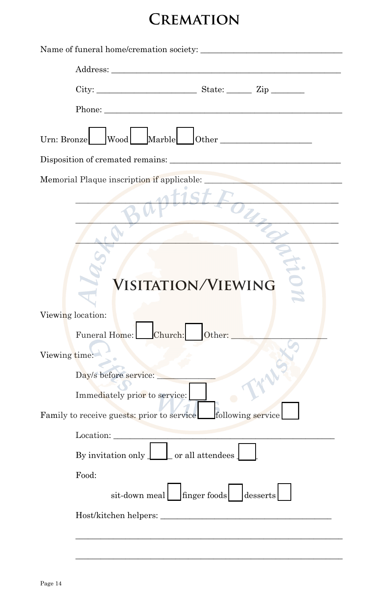## **Cremation**

| Name of funeral home/cremation society:                                                                                                                                                                                        |
|--------------------------------------------------------------------------------------------------------------------------------------------------------------------------------------------------------------------------------|
|                                                                                                                                                                                                                                |
|                                                                                                                                                                                                                                |
| Phone: New York Street, and the street of the street of the street of the street of the street of the street of the street of the street of the street of the street of the street of the street of the street of the street o |
| Wood Marble Other<br>Urn: Bronze                                                                                                                                                                                               |
|                                                                                                                                                                                                                                |
| Memorial Plaque inscription if applicable:                                                                                                                                                                                     |
|                                                                                                                                                                                                                                |
| <b>VISITATION/VIEWING</b>                                                                                                                                                                                                      |
| Viewing location:                                                                                                                                                                                                              |
| Funeral Home: Church:<br>Other:                                                                                                                                                                                                |
| Viewing time:                                                                                                                                                                                                                  |
| Day/s before service:                                                                                                                                                                                                          |
| Immediately prior to service:                                                                                                                                                                                                  |
| Family to receive guests: prior to service following service                                                                                                                                                                   |
| Location:                                                                                                                                                                                                                      |
| By invitation only $\boxed{\phantom{a}}$ or all attendees                                                                                                                                                                      |
| Food:                                                                                                                                                                                                                          |
| sit-down meal finger foods desserts                                                                                                                                                                                            |
| Host/kitchen helpers:                                                                                                                                                                                                          |
|                                                                                                                                                                                                                                |

\_\_\_\_\_\_\_\_\_\_\_\_\_\_\_\_\_\_\_\_\_\_\_\_\_\_\_\_\_\_\_\_\_\_\_\_\_\_\_\_\_\_\_\_\_\_\_\_\_\_\_\_\_\_\_\_\_\_\_\_\_\_\_\_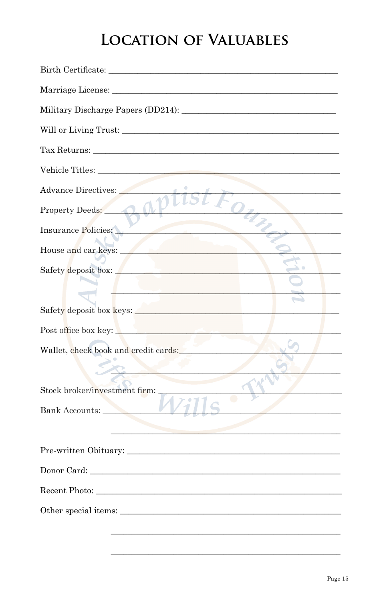### **LOCATION OF VALUABLES**

| Tax Returns:                                |
|---------------------------------------------|
|                                             |
| Advance Directives:                         |
| Property Deeds:                             |
| Insurance Policies:                         |
| House and car keys:                         |
| Safety deposit box:                         |
| <u>Andreas and the second second second</u> |
| Safety deposit box keys:                    |
| Post office box key:                        |
| Wallet, check book and credit cards:        |
| Stock broker/investment firm:               |
| Bank Accounts:                              |
|                                             |
| Pre-written Obituary:                       |
| Donor Card: New York Donor Card 2014        |
|                                             |
| Other special items:                        |
|                                             |